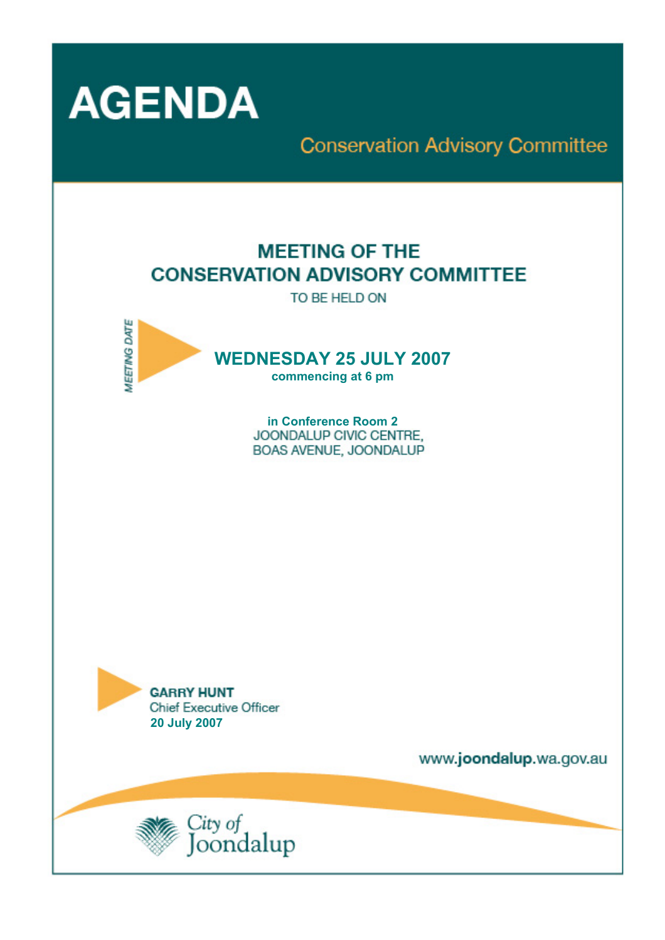

# **Conservation Advisory Committee**

# **MEETING OF THE CONSERVATION ADVISORY COMMITTEE**

TO BE HELD ON



in Conference Room 2 JOONDALUP CIVIC CENTRE. BOAS AVENUE, JOONDALUP



www.joondalup.wa.gov.au

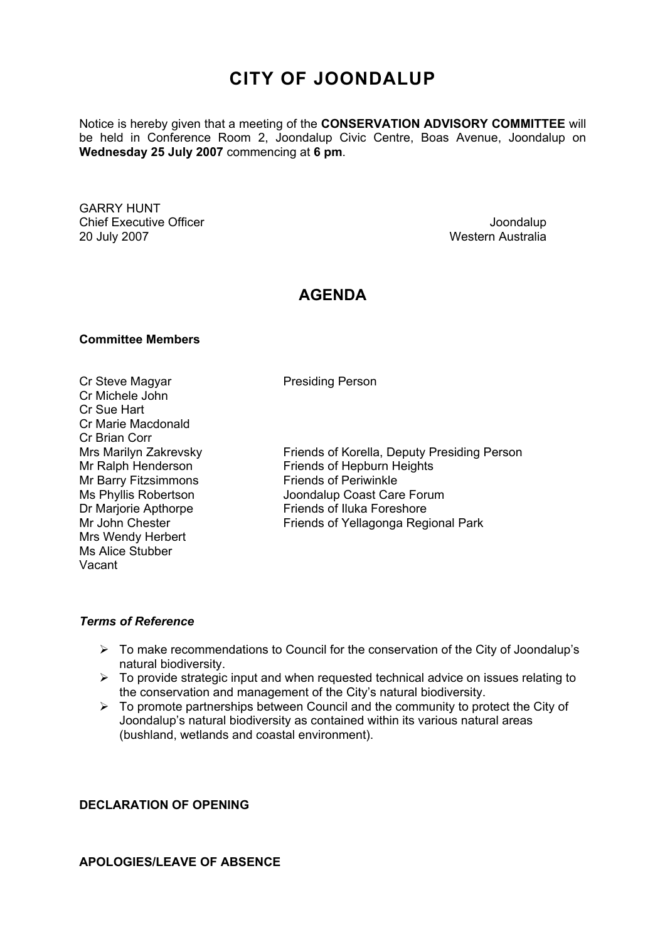# **CITY OF JOONDALUP**

Notice is hereby given that a meeting of the **CONSERVATION ADVISORY COMMITTEE** will be held in Conference Room 2, Joondalup Civic Centre, Boas Avenue, Joondalup on **Wednesday 25 July 2007** commencing at **6 pm**.

GARRY HUNT Chief Executive Officer  $\Box$  Joondalup Joondalup 20 July 2007 Western Australia

# **AGENDA**

### **Committee Members**

Cr Steve Magyar **Presiding Person** Cr Michele John Cr Sue Hart Cr Marie Macdonald Cr Brian Corr Mr Barry Fitzsimmons Friends of Periwinkle Mrs Wendy Herbert Ms Alice Stubber Vacant

Mrs Marilyn Zakrevsky Friends of Korella, Deputy Presiding Person<br>Mr Ralph Henderson Friends of Hepburn Heights Friends of Hepburn Heights Ms Phyllis Robertson **Joondalup Coast Care Forum** Dr Marjorie Apthorpe Friends of Iluka Foreshore Mr John Chester **Friends of Yellagonga Regional Park** 

## *Terms of Reference*

- ¾ To make recommendations to Council for the conservation of the City of Joondalup's natural biodiversity.
- $\triangleright$  To provide strategic input and when requested technical advice on issues relating to the conservation and management of the City's natural biodiversity.
- $\triangleright$  To promote partnerships between Council and the community to protect the City of Joondalup's natural biodiversity as contained within its various natural areas (bushland, wetlands and coastal environment).

# **DECLARATION OF OPENING**

# **APOLOGIES/LEAVE OF ABSENCE**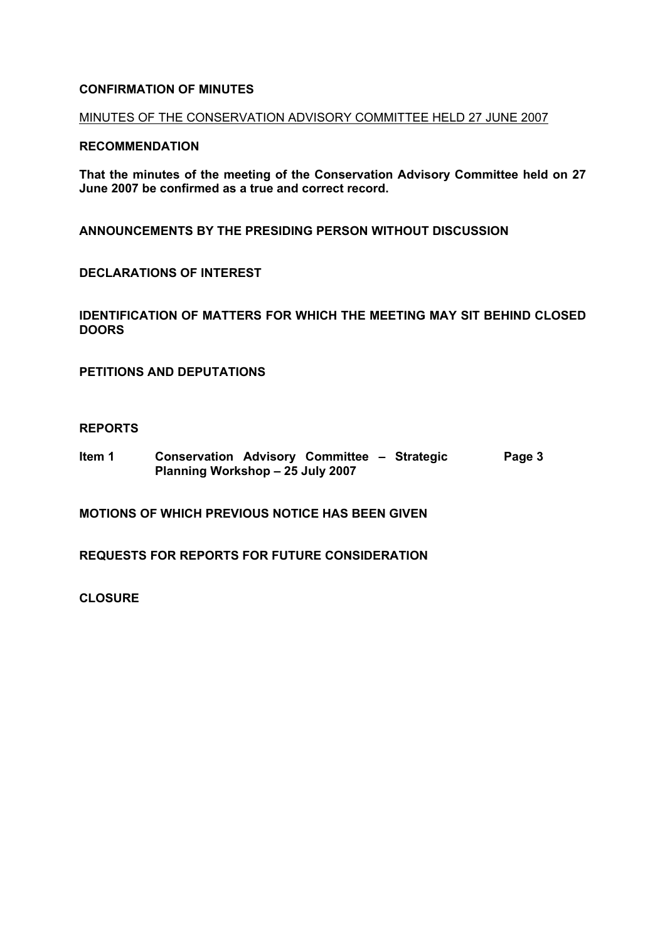# **CONFIRMATION OF MINUTES**

# MINUTES OF THE CONSERVATION ADVISORY COMMITTEE HELD 27 JUNE 2007

# **RECOMMENDATION**

**That the minutes of the meeting of the Conservation Advisory Committee held on 27 June 2007 be confirmed as a true and correct record.** 

**ANNOUNCEMENTS BY THE PRESIDING PERSON WITHOUT DISCUSSION** 

**DECLARATIONS OF INTEREST** 

**IDENTIFICATION OF MATTERS FOR WHICH THE MEETING MAY SIT BEHIND CLOSED DOORS** 

**PETITIONS AND DEPUTATIONS** 

### **REPORTS**

**Item 1 Conservation Advisory Committee – Strategic Planning Workshop – 25 July 2007 Page 3** 

**MOTIONS OF WHICH PREVIOUS NOTICE HAS BEEN GIVEN** 

**REQUESTS FOR REPORTS FOR FUTURE CONSIDERATION** 

**CLOSURE**